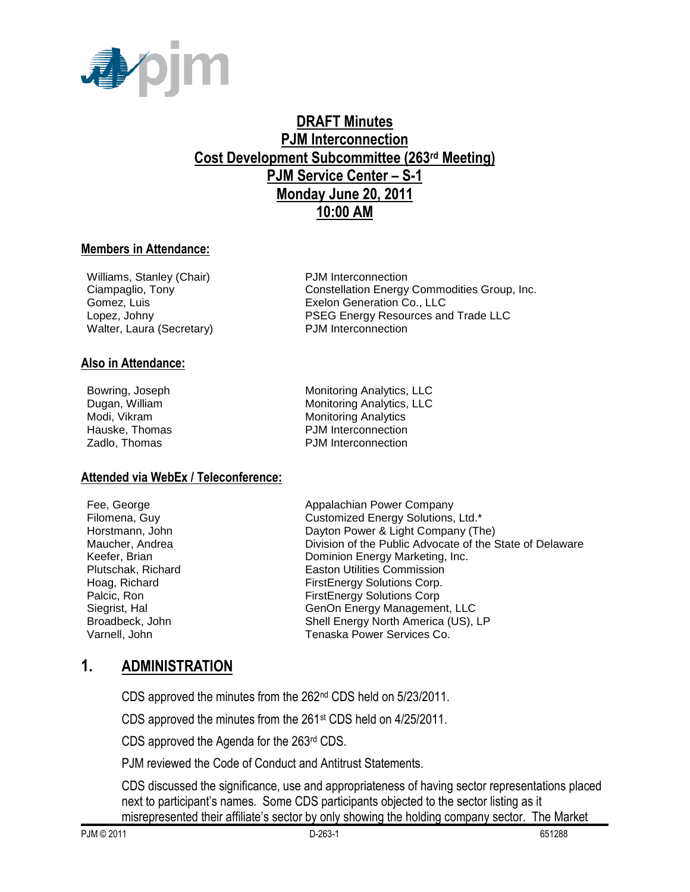

# **DRAFT Minutes PJM Interconnection Cost Development Subcommittee (263rd Meeting) PJM Service Center – S-1 Monday June 20, 2011 10:00 AM**

#### **Members in Attendance:**

Williams, Stanley (Chair) PJM Interconnection Walter, Laura (Secretary) PJM Interconnection

#### **Also in Attendance:**

**Attended via WebEx / Teleconference:**

Ciampaglio, Tony Constellation Energy Commodities Group, Inc. Gomez, Luis Exelon Generation Co., LLC Lopez, Johny PSEG Energy Resources and Trade LLC

Bowring, Joseph Monitoring Analytics, LLC Dugan, William Monitoring Analytics, LLC Modi, Vikram **Monitoring Analytics** Monitoring Analytics Hauske, Thomas **PJM** Interconnection Zadlo, Thomas **PJM** Interconnection

Fee, George **Appalachian Power Company** Filomena, Guy Customized Energy Solutions, Ltd.\* Horstmann, John Dayton Power & Light Company (The) Maucher, Andrea **Division of the Public Advocate of the State of Delaware** Keefer, Brian **Dominion Energy Marketing, Inc.**<br>
Plutschak, Richard **Dominion Energy Marketing, Inc.**<br>
Easton Utilities Commission **Easton Utilities Commission** Hoag, Richard **FirstEnergy Solutions Corp.** Palcic, Ron FirstEnergy Solutions Corp Siegrist, Hal GenOn Energy Management, LLC Broadbeck, John Shell Energy North America (US), LP Varnell, John Tenaska Power Services Co.

#### **1. ADMINISTRATION**

CDS approved the minutes from the 262nd CDS held on 5/23/2011.

CDS approved the minutes from the 261st CDS held on 4/25/2011.

CDS approved the Agenda for the 263rd CDS.

PJM reviewed the Code of Conduct and Antitrust Statements.

CDS discussed the significance, use and appropriateness of having sector representations placed next to participant's names. Some CDS participants objected to the sector listing as it

misrepresented their affiliate's sector by only showing the holding company sector. The Market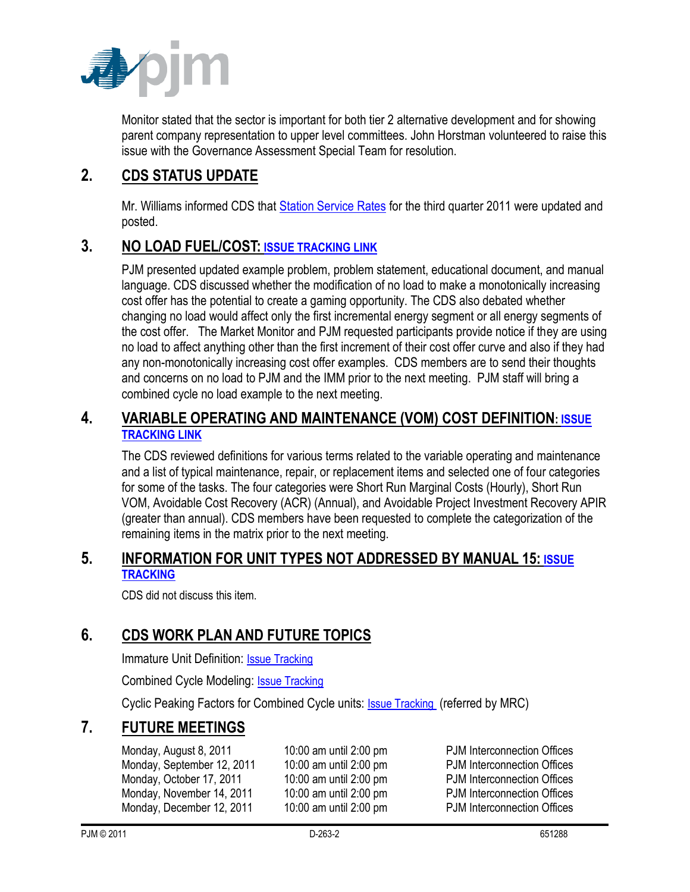

Monitor stated that the sector is important for both tier 2 alternative development and for showing parent company representation to upper level committees. John Horstman volunteered to raise this issue with the Governance Assessment Special Team for resolution.

## **2. CDS STATUS UPDATE**

Mr. Williams informed CDS that [Station Service Rates](http://www.pjm.com/committees-and-groups/subcommittees/cds/starvrts.aspx) for the third quarter 2011 were updated and posted.

## **3. NO LOAD FUEL/COST: [ISSUE TRACKING LINK](http://www.pjm.com/committees-and-groups/issue-tracking/issue-tracking-details.aspx?Issue=%7bB4390F49-FB83-4790-B1E7-89EF1844E073%7d)**

PJM presented updated example problem, problem statement, educational document, and manual language. CDS discussed whether the modification of no load to make a monotonically increasing cost offer has the potential to create a gaming opportunity. The CDS also debated whether changing no load would affect only the first incremental energy segment or all energy segments of the cost offer. The Market Monitor and PJM requested participants provide notice if they are using no load to affect anything other than the first increment of their cost offer curve and also if they had any non-monotonically increasing cost offer examples. CDS members are to send their thoughts and concerns on no load to PJM and the IMM prior to the next meeting. PJM staff will bring a combined cycle no load example to the next meeting.

#### **4. VARIABLE OPERATING AND MAINTENANCE (VOM) COST DEFINITION: [ISSUE](http://www.pjm.com/committees-and-groups/issue-tracking/issue-tracking-details.aspx?Issue=%7b189C7210-9A23-4782-A5B5-634A6887CFE1%7d)  [TRACKING LINK](http://www.pjm.com/committees-and-groups/issue-tracking/issue-tracking-details.aspx?Issue=%7b189C7210-9A23-4782-A5B5-634A6887CFE1%7d)**

The CDS reviewed definitions for various terms related to the variable operating and maintenance and a list of typical maintenance, repair, or replacement items and selected one of four categories for some of the tasks. The four categories were Short Run Marginal Costs (Hourly), Short Run VOM, Avoidable Cost Recovery (ACR) (Annual), and Avoidable Project Investment Recovery APIR (greater than annual). CDS members have been requested to complete the categorization of the remaining items in the matrix prior to the next meeting.

### **5. INFORMATION FOR UNIT TYPES NOT ADDRESSED BY MANUAL 15: [ISSUE](http://pjm.com/committees-and-groups/issue-tracking/issue-tracking-details.aspx?Issue=%7b3159C1F6-5498-412A-84F2-D4EA3F5834C6%7d)  [TRACKING](http://pjm.com/committees-and-groups/issue-tracking/issue-tracking-details.aspx?Issue=%7b3159C1F6-5498-412A-84F2-D4EA3F5834C6%7d)**

CDS did not discuss this item.

# **6. CDS WORK PLAN AND FUTURE TOPICS**

Immature Unit Definition: [Issue Tracking](http://pjm.com/committees-and-groups/issue-tracking/issue-tracking-details.aspx?Issue=%7b510DC5A0-8F2D-46B1-8FA4-3D61DC10BA45%7d)

Combined Cycle Modeling: [Issue Tracking](http://pjm.com/committees-and-groups/issue-tracking/issue-tracking-details.aspx?Issue=%7bE5A783B1-FF7A-4A7F-B6CE-3CD2765836F9%7d)

Cyclic Peaking Factors for Combined Cycle units: [Issue Tracking](http://www.pjm.com/committees-and-groups/issue-tracking/issue-tracking-details.aspx?Issue=%7b271B9B61-2DB7-4D21-8C58-20324835B7D2%7d) (referred by MRC)

## **7. FUTURE MEETINGS**

Monday, August 8, 2011 10:00 am until 2:00 pm PJM Interconnection Offices Monday, September 12, 2011 10:00 am until 2:00 pm PJM Interconnection Offices Monday, October 17, 2011 10:00 am until 2:00 pm PJM Interconnection Offices Monday, November 14, 2011 10:00 am until 2:00 pm PJM Interconnection Offices Monday, December 12, 2011 10:00 am until 2:00 pm PJM Interconnection Offices